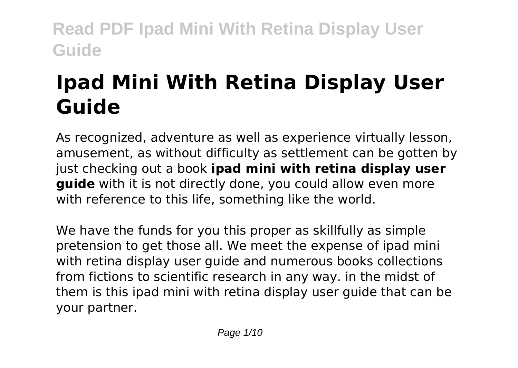# **Ipad Mini With Retina Display User Guide**

As recognized, adventure as well as experience virtually lesson, amusement, as without difficulty as settlement can be gotten by just checking out a book **ipad mini with retina display user guide** with it is not directly done, you could allow even more with reference to this life, something like the world.

We have the funds for you this proper as skillfully as simple pretension to get those all. We meet the expense of ipad mini with retina display user guide and numerous books collections from fictions to scientific research in any way. in the midst of them is this ipad mini with retina display user guide that can be your partner.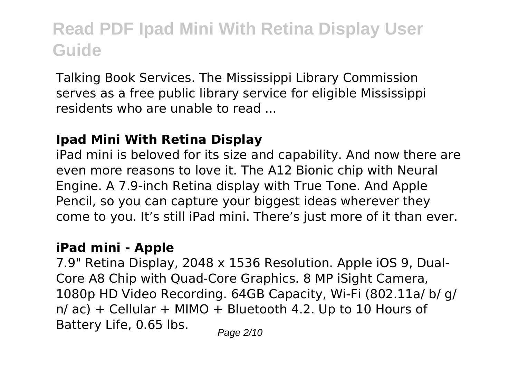Talking Book Services. The Mississippi Library Commission serves as a free public library service for eligible Mississippi residents who are unable to read ...

#### **Ipad Mini With Retina Display**

iPad mini is beloved for its size and capability. And now there are even more reasons to love it. The A12 Bionic chip with Neural Engine. A 7.9‑inch Retina display with True Tone. And Apple Pencil, so you can capture your biggest ideas wherever they come to you. It's still iPad mini. There's just more of it than ever.

#### **iPad mini - Apple**

7.9" Retina Display, 2048 x 1536 Resolution. Apple iOS 9, Dual-Core A8 Chip with Quad-Core Graphics. 8 MP iSight Camera, 1080p HD Video Recording. 64GB Capacity, Wi-Fi (802.11a/ b/ g/  $n/$  ac) + Cellular + MIMO + Bluetooth 4.2. Up to 10 Hours of Battery Life,  $0.65$  lbs.  $P_{\text{a}q\text{e}2/10}$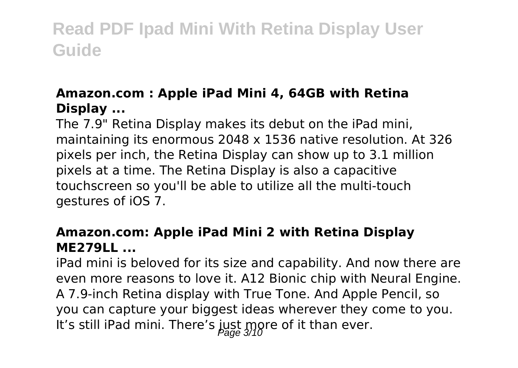#### **Amazon.com : Apple iPad Mini 4, 64GB with Retina Display ...**

The 7.9" Retina Display makes its debut on the iPad mini, maintaining its enormous 2048 x 1536 native resolution. At 326 pixels per inch, the Retina Display can show up to 3.1 million pixels at a time. The Retina Display is also a capacitive touchscreen so you'll be able to utilize all the multi-touch gestures of iOS 7.

#### **Amazon.com: Apple iPad Mini 2 with Retina Display ME279LL ...**

iPad mini is beloved for its size and capability. And now there are even more reasons to love it. A12 Bionic chip with Neural Engine. A 7.9‑inch Retina display with True Tone. And Apple Pencil, so you can capture your biggest ideas wherever they come to you. It's still iPad mini. There's just more of it than ever.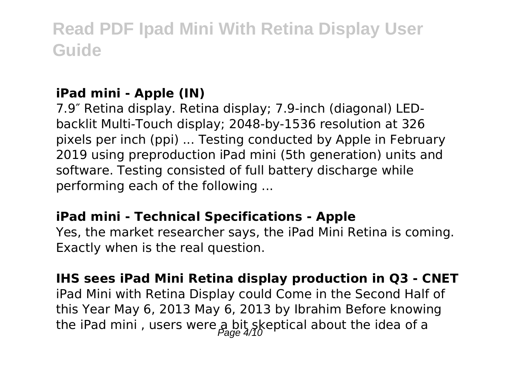#### **iPad mini - Apple (IN)**

7.9″ Retina display. Retina display; 7.9-inch (diagonal) LEDbacklit Multi-Touch display; 2048-by-1536 resolution at 326 pixels per inch (ppi) ... Testing conducted by Apple in February 2019 using preproduction iPad mini (5th generation) units and software. Testing consisted of full battery discharge while performing each of the following ...

#### **iPad mini - Technical Specifications - Apple**

Yes, the market researcher says, the iPad Mini Retina is coming. Exactly when is the real question.

**IHS sees iPad Mini Retina display production in Q3 - CNET** iPad Mini with Retina Display could Come in the Second Half of this Year May 6, 2013 May 6, 2013 by Ibrahim Before knowing the iPad mini, users were  $a, bi$  skeptical about the idea of a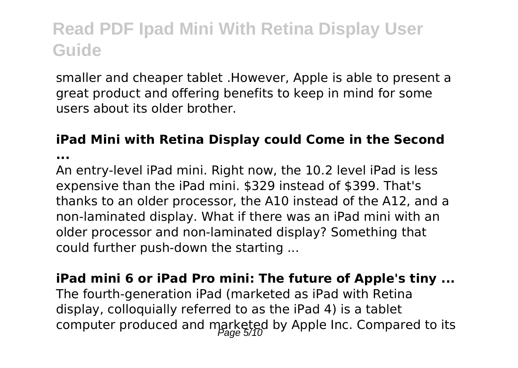smaller and cheaper tablet .However, Apple is able to present a great product and offering benefits to keep in mind for some users about its older brother.

### **iPad Mini with Retina Display could Come in the Second**

**...**

An entry-level iPad mini. Right now, the 10.2 level iPad is less expensive than the iPad mini. \$329 instead of \$399. That's thanks to an older processor, the A10 instead of the A12, and a non-laminated display. What if there was an iPad mini with an older processor and non-laminated display? Something that could further push-down the starting ...

**iPad mini 6 or iPad Pro mini: The future of Apple's tiny ...** The fourth-generation iPad (marketed as iPad with Retina display, colloquially referred to as the iPad 4) is a tablet computer produced and marketed by Apple Inc. Compared to its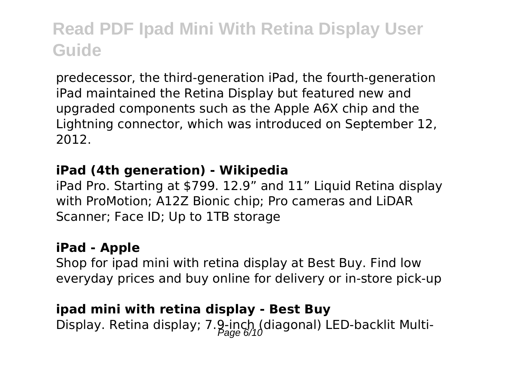predecessor, the third-generation iPad, the fourth-generation iPad maintained the Retina Display but featured new and upgraded components such as the Apple A6X chip and the Lightning connector, which was introduced on September 12, 2012.

#### **iPad (4th generation) - Wikipedia**

iPad Pro. Starting at \$799. 12.9" and 11" Liquid Retina display with ProMotion; A12Z Bionic chip; Pro cameras and LiDAR Scanner; Face ID; Up to 1TB storage

#### **iPad - Apple**

Shop for ipad mini with retina display at Best Buy. Find low everyday prices and buy online for delivery or in-store pick-up

### **ipad mini with retina display - Best Buy** Display. Retina display; 7.9-inch (diagonal) LED-backlit Multi-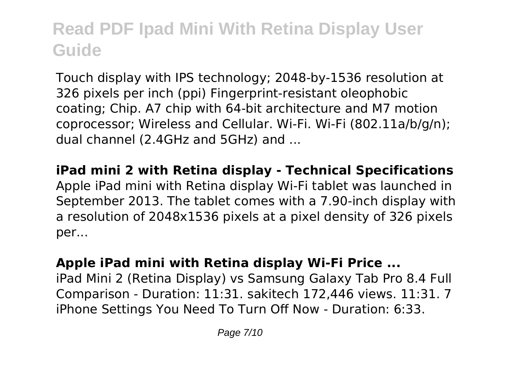Touch display with IPS technology; 2048-by-1536 resolution at 326 pixels per inch (ppi) Fingerprint-resistant oleophobic coating; Chip. A7 chip with 64-bit architecture and M7 motion coprocessor; Wireless and Cellular. Wi-Fi. Wi-Fi (802.11a/b/g/n); dual channel (2.4GHz and 5GHz) and ...

**iPad mini 2 with Retina display - Technical Specifications** Apple iPad mini with Retina display Wi-Fi tablet was launched in September 2013. The tablet comes with a 7.90-inch display with a resolution of 2048x1536 pixels at a pixel density of 326 pixels per...

#### **Apple iPad mini with Retina display Wi-Fi Price ...**

iPad Mini 2 (Retina Display) vs Samsung Galaxy Tab Pro 8.4 Full Comparison - Duration: 11:31. sakitech 172,446 views. 11:31. 7 iPhone Settings You Need To Turn Off Now - Duration: 6:33.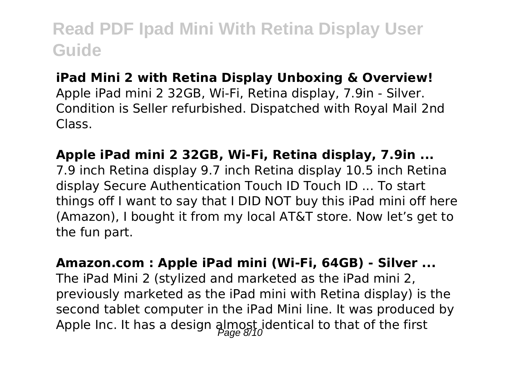#### **iPad Mini 2 with Retina Display Unboxing & Overview!**

Apple iPad mini 2 32GB, Wi-Fi, Retina display, 7.9in - Silver. Condition is Seller refurbished. Dispatched with Royal Mail 2nd Class.

**Apple iPad mini 2 32GB, Wi-Fi, Retina display, 7.9in ...** 7.9 inch Retina display 9.7 inch Retina display 10.5 inch Retina display Secure Authentication Touch ID Touch ID ... To start things off I want to say that I DID NOT buy this iPad mini off here (Amazon), I bought it from my local AT&T store. Now let's get to the fun part.

**Amazon.com : Apple iPad mini (Wi-Fi, 64GB) - Silver ...** The iPad Mini 2 (stylized and marketed as the iPad mini 2, previously marketed as the iPad mini with Retina display) is the second tablet computer in the iPad Mini line. It was produced by Apple Inc. It has a design  $\frac{1}{2}$  and  $\frac{1}{2}$  dentical to that of the first